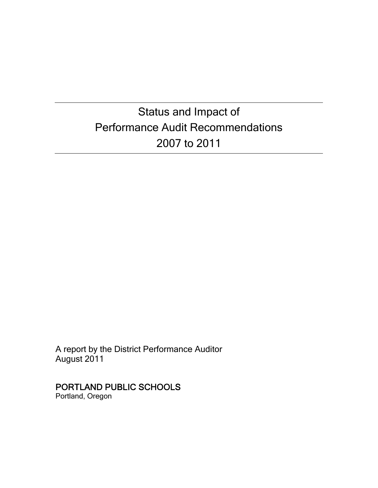# Status and Impact of Performance Audit Recommendations 2007 to 2011

A report by the District Performance Auditor August 2011

# PORTLAND PUBLIC SCHOOLS

Portland, Oregon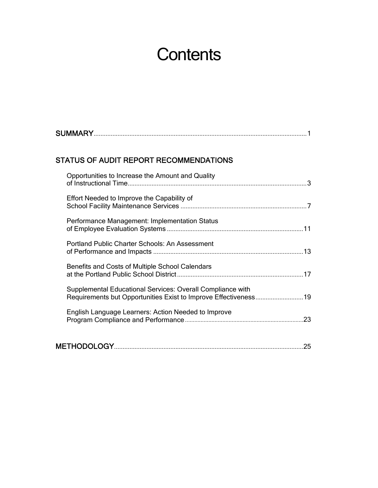# **Contents**

| <b>SUMMARY</b> |  |
|----------------|--|
|                |  |

### STATUS OF AUDIT REPORT RECOMMENDATIONS

| Opportunities to Increase the Amount and Quality                                                                              |     |
|-------------------------------------------------------------------------------------------------------------------------------|-----|
| Effort Needed to Improve the Capability of                                                                                    |     |
| Performance Management: Implementation Status                                                                                 |     |
| <b>Portland Public Charter Schools: An Assessment</b>                                                                         |     |
| Benefits and Costs of Multiple School Calendars                                                                               |     |
| Supplemental Educational Services: Overall Compliance with<br>Requirements but Opportunities Exist to Improve Effectiveness19 |     |
| English Language Learners: Action Needed to Improve                                                                           | .23 |
|                                                                                                                               | 25  |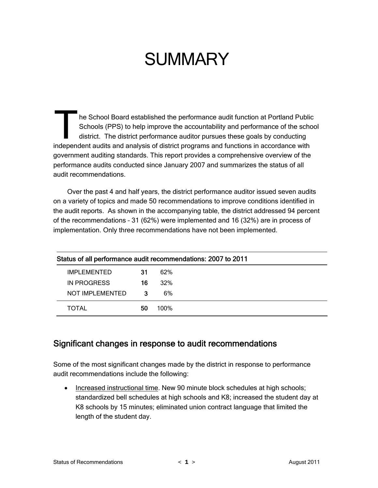# **SUMMARY**

he School Board established the performance audit function at Portland Public Schools (PPS) to help improve the accountability and performance of the school district. The district performance auditor pursues these goals by conducting The School Board established the performance audit function at Portland Public<br>Schools (PPS) to help improve the accountability and performance of the schools<br>district. The district performance auditor pursues these goals government auditing standards. This report provides a comprehensive overview of the performance audits conducted since January 2007 and summarizes the status of all audit recommendations.

Over the past 4 and half years, the district performance auditor issued seven audits on a variety of topics and made 50 recommendations to improve conditions identified in the audit reports. As shown in the accompanying table, the district addressed 94 percent of the recommendations – 31 (62%) were implemented and 16 (32%) are in process of implementation. Only three recommendations have not been implemented.

| Status of all performance audit recommendations: 2007 to 2011 |    |      |  |  |  |
|---------------------------------------------------------------|----|------|--|--|--|
| <b>IMPLEMENTED</b>                                            | 31 | 62%  |  |  |  |
| IN PROGRESS                                                   | 16 | 32%  |  |  |  |
| NOT IMPLEMENTED                                               | -3 | 6%   |  |  |  |
| TOTAL                                                         | 50 | 100% |  |  |  |

## Significant changes in response to audit recommendations

Some of the most significant changes made by the district in response to performance audit recommendations include the following:

• Increased instructional time. New 90 minute block schedules at high schools; standardized bell schedules at high schools and K8; increased the student day at K8 schools by 15 minutes; eliminated union contract language that limited the length of the student day.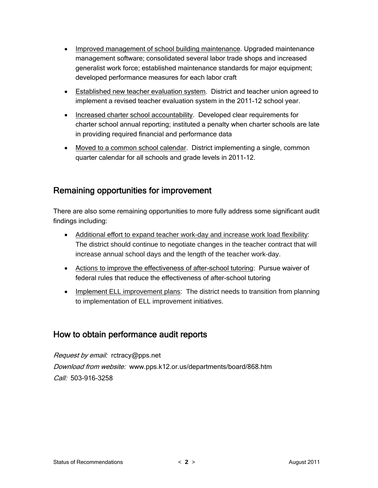- Improved management of school building maintenance. Upgraded maintenance management software; consolidated several labor trade shops and increased generalist work force; established maintenance standards for major equipment; developed performance measures for each labor craft
- Established new teacher evaluation system. District and teacher union agreed to implement a revised teacher evaluation system in the 2011-12 school year.
- Increased charter school accountability. Developed clear requirements for charter school annual reporting; instituted a penalty when charter schools are late in providing required financial and performance data
- Moved to a common school calendar. District implementing a single, common quarter calendar for all schools and grade levels in 2011-12.

## Remaining opportunities for improvement

There are also some remaining opportunities to more fully address some significant audit findings including:

- Additional effort to expand teacher work-day and increase work load flexibility: The district should continue to negotiate changes in the teacher contract that will increase annual school days and the length of the teacher work-day.
- Actions to improve the effectiveness of after-school tutoring: Pursue waiver of federal rules that reduce the effectiveness of after-school tutoring
- Implement ELL improvement plans: The district needs to transition from planning to implementation of ELL improvement initiatives.

## How to obtain performance audit reports

Request by email: rctracy@pps.net Download from website: www.pps.k12.or.us/departments/board/868.htm  $Call: 503-916-3258$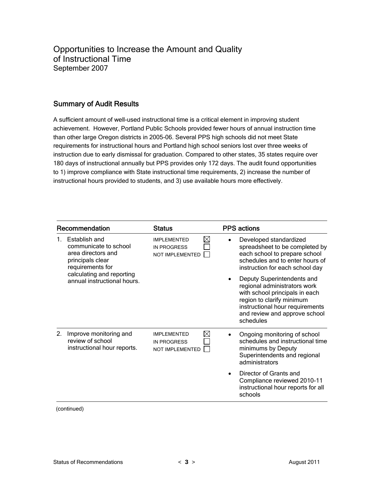Opportunities to Increase the Amount and Quality of Instructional Time September 2007

#### Summary of Audit Results

A sufficient amount of well-used instructional time is a critical element in improving student achievement. However, Portland Public Schools provided fewer hours of annual instruction time than other large Oregon districts in 2005-06. Several PPS high schools did not meet State requirements for instructional hours and Portland high school seniors lost over three weeks of instruction due to early dismissal for graduation. Compared to other states, 35 states require over 180 days of instructional annually but PPS provides only 172 days. The audit found opportunities to 1) improve compliance with State instructional time requirements, 2) increase the number of instructional hours provided to students, and 3) use available hours more effectively.

|    | Recommendation                                                                                       | <b>Status</b>                                                             |           | <b>PPS</b> actions                                                                                                                                                                                         |
|----|------------------------------------------------------------------------------------------------------|---------------------------------------------------------------------------|-----------|------------------------------------------------------------------------------------------------------------------------------------------------------------------------------------------------------------|
|    | Establish and<br>communicate to school<br>area directors and<br>principals clear<br>requirements for | $\bowtie$<br><b>IMPI FMENTED</b><br><b>IN PROGRESS</b><br>NOT IMPLEMENTED | ٠         | Developed standardized<br>spreadsheet to be completed by<br>each school to prepare school<br>schedules and to enter hours of<br>instruction for each school day                                            |
|    | calculating and reporting<br>annual instructional hours.                                             |                                                                           | ٠         | Deputy Superintendents and<br>regional administrators work<br>with school principals in each<br>region to clarify minimum<br>instructional hour requirements<br>and review and approve school<br>schedules |
| 2. | Improve monitoring and<br>review of school<br>instructional hour reports.                            | M<br><b>IMPLEMENTED</b><br><b>IN PROGRESS</b><br>NOT IMPLEMENTED          |           | Ongoing monitoring of school<br>schedules and instructional time<br>minimums by Deputy<br>Superintendents and regional<br>administrators                                                                   |
|    |                                                                                                      |                                                                           | $\bullet$ | Director of Grants and<br>Compliance reviewed 2010-11<br>instructional hour reports for all<br>schools                                                                                                     |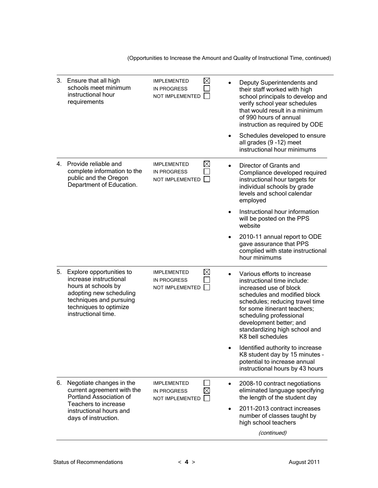(Opportunities to Increase the Amount and Quality of Instructional Time, continued)

|    | 3. Ensure that all high<br>schools meet minimum<br>instructional hour<br>requirements                                                                                            | <b>IMPLEMENTED</b><br><b>IN PROGRESS</b><br>NOT IMPLEMENTED | $\boxtimes$ | Deputy Superintendents and<br>their staff worked with high<br>school principals to develop and<br>verify school year schedules<br>that would result in a minimum<br>of 990 hours of annual<br>instruction as required by ODE                                                                        |
|----|----------------------------------------------------------------------------------------------------------------------------------------------------------------------------------|-------------------------------------------------------------|-------------|-----------------------------------------------------------------------------------------------------------------------------------------------------------------------------------------------------------------------------------------------------------------------------------------------------|
|    |                                                                                                                                                                                  |                                                             |             | Schedules developed to ensure<br>all grades (9 -12) meet<br>instructional hour minimums                                                                                                                                                                                                             |
|    | 4. Provide reliable and<br>complete information to the<br>public and the Oregon<br>Department of Education.                                                                      | <b>IMPLEMENTED</b><br><b>IN PROGRESS</b><br>NOT IMPLEMENTED | $\boxtimes$ | Director of Grants and<br>Compliance developed required<br>instructional hour targets for<br>individual schools by grade<br>levels and school calendar<br>employed                                                                                                                                  |
|    |                                                                                                                                                                                  |                                                             |             | Instructional hour information<br>will be posted on the PPS<br>website                                                                                                                                                                                                                              |
|    |                                                                                                                                                                                  |                                                             |             | 2010-11 annual report to ODE<br>gave assurance that PPS<br>complied with state instructional<br>hour minimums                                                                                                                                                                                       |
| 5. | Explore opportunities to<br>increase instructional<br>hours at schools by<br>adopting new scheduling<br>techniques and pursuing<br>techniques to optimize<br>instructional time. | <b>IMPLEMENTED</b><br><b>IN PROGRESS</b><br>NOT IMPLEMENTED | $\boxtimes$ | Various efforts to increase<br>instructional time include:<br>increased use of block<br>schedules and modified block<br>schedules; reducing travel time<br>for some itinerant teachers;<br>scheduling professional<br>development better; and<br>standardizing high school and<br>K8 bell schedules |
|    |                                                                                                                                                                                  |                                                             |             | Identified authority to increase<br>K8 student day by 15 minutes -<br>potential to increase annual<br>instructional hours by 43 hours                                                                                                                                                               |
| 6. | Negotiate changes in the<br>current agreement with the<br>Portland Association of                                                                                                | <b>IMPLEMENTED</b><br><b>IN PROGRESS</b><br>NOT IMPLEMENTED |             | 2008-10 contract negotiations<br>eliminated language specifying<br>the length of the student day                                                                                                                                                                                                    |
|    | Teachers to increase<br>instructional hours and<br>days of instruction.                                                                                                          |                                                             |             | 2011-2013 contract increases<br>number of classes taught by<br>high school teachers                                                                                                                                                                                                                 |
|    |                                                                                                                                                                                  |                                                             |             | (continued)                                                                                                                                                                                                                                                                                         |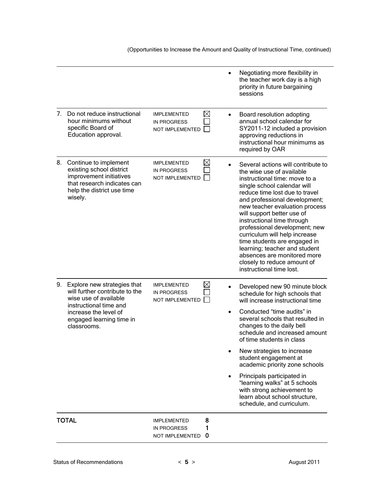(Opportunities to Increase the Amount and Quality of Instructional Time, continued)

|                                |                                                                                                                                                                                         |                                                                            | Negotiating more flexibility in<br>the teacher work day is a high<br>priority in future bargaining<br>sessions                                                                                                                                                                                                                                                                                                                                                                                                                    |
|--------------------------------|-----------------------------------------------------------------------------------------------------------------------------------------------------------------------------------------|----------------------------------------------------------------------------|-----------------------------------------------------------------------------------------------------------------------------------------------------------------------------------------------------------------------------------------------------------------------------------------------------------------------------------------------------------------------------------------------------------------------------------------------------------------------------------------------------------------------------------|
| $7_{\scriptscriptstyle{\sim}}$ | Do not reduce instructional<br>hour minimums without<br>specific Board of<br>Education approval.                                                                                        | $\boxtimes$<br><b>IMPLEMENTED</b><br>IN PROGRESS<br>NOT IMPLEMENTED        | Board resolution adopting<br>annual school calendar for<br>SY2011-12 included a provision<br>approving reductions in<br>instructional hour minimums as<br>required by OAR                                                                                                                                                                                                                                                                                                                                                         |
| 8.                             | Continue to implement<br>existing school district<br>improvement initiatives<br>that research indicates can<br>help the district use time<br>wisely.                                    | $\boxtimes$<br><b>IMPLEMENTED</b><br><b>IN PROGRESS</b><br>NOT IMPLEMENTED | Several actions will contribute to<br>the wise use of available<br>instructional time: move to a<br>single school calendar will<br>reduce time lost due to travel<br>and professional development;<br>new teacher evaluation process<br>will support better use of<br>instructional time through<br>professional development; new<br>curriculum will help increase<br>time students are engaged in<br>learning; teacher and student<br>absences are monitored more<br>closely to reduce amount of<br>instructional time lost.     |
|                                | 9. Explore new strategies that<br>will further contribute to the<br>wise use of available<br>instructional time and<br>increase the level of<br>engaged learning time in<br>classrooms. | $\boxtimes$<br><b>IMPLEMENTED</b><br>IN PROGRESS<br>NOT IMPLEMENTED        | Developed new 90 minute block<br>$\bullet$<br>schedule for high schools that<br>will increase instructional time<br>Conducted "time audits" in<br>several schools that resulted in<br>changes to the daily bell<br>schedule and increased amount<br>of time students in class<br>New strategies to increase<br>student engagement at<br>academic priority zone schools<br>Principals participated in<br>"learning walks" at 5 schools<br>with strong achievement to<br>learn about school structure,<br>schedule, and curriculum. |
|                                | <b>TOTAL</b>                                                                                                                                                                            | 8<br><b>IMPLEMENTED</b><br>1<br><b>IN PROGRESS</b><br>NOT IMPLEMENTED<br>0 |                                                                                                                                                                                                                                                                                                                                                                                                                                                                                                                                   |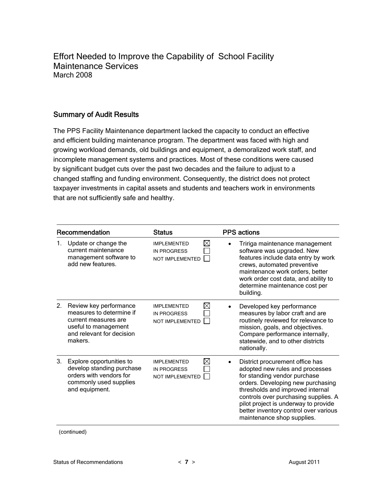Effort Needed to Improve the Capability of School Facility Maintenance Services March 2008

### Summary of Audit Results

The PPS Facility Maintenance department lacked the capacity to conduct an effective and efficient building maintenance program. The department was faced with high and growing workload demands, old buildings and equipment, a demoralized work staff, and incomplete management systems and practices. Most of these conditions were caused by significant budget cuts over the past two decades and the failure to adjust to a changed staffing and funding environment. Consequently, the district does not protect taxpayer investments in capital assets and students and teachers work in environments that are not sufficiently safe and healthy.

|    | Recommendation                                                                                                                             | <b>Status</b>                                                                     | <b>PPS</b> actions                                                     |                                                                                                                                                                                                                                                                      |
|----|--------------------------------------------------------------------------------------------------------------------------------------------|-----------------------------------------------------------------------------------|------------------------------------------------------------------------|----------------------------------------------------------------------------------------------------------------------------------------------------------------------------------------------------------------------------------------------------------------------|
| 1. | Update or change the<br>current maintenance<br>management software to<br>add new features.                                                 | $\boxtimes$<br><b>IMPLEMENTED</b><br><b>IN PROGRESS</b><br>NOT IMPLEMENTED        | software was upgraded. New<br>crews, automated preventive<br>building. | Tririga maintenance management<br>features include data entry by work<br>maintenance work orders, better<br>work order cost data, and ability to<br>determine maintenance cost per                                                                                   |
| 2. | Review key performance<br>measures to determine if<br>current measures are<br>useful to management<br>and relevant for decision<br>makers. | $\bowtie$<br><b>IMPLEMENTED</b><br><b>IN PROGRESS</b><br><b>NOT IMPLEMENTED</b>   | Developed key performance<br>nationally.                               | measures by labor craft and are<br>routinely reviewed for relevance to<br>mission, goals, and objectives.<br>Compare performance internally,<br>statewide, and to other districts                                                                                    |
| 3. | Explore opportunities to<br>develop standing purchase<br>orders with vendors for<br>commonly used supplies<br>and equipment.               | $\boxtimes$<br><b>IMPLEMENTED</b><br><b>IN PROGRESS</b><br><b>NOT IMPLEMENTED</b> | for standing vendor purchase<br>maintenance shop supplies.             | District procurement office has<br>adopted new rules and processes<br>orders. Developing new purchasing<br>thresholds and improved internal<br>controls over purchasing supplies. A<br>pilot project is underway to provide<br>better inventory control over various |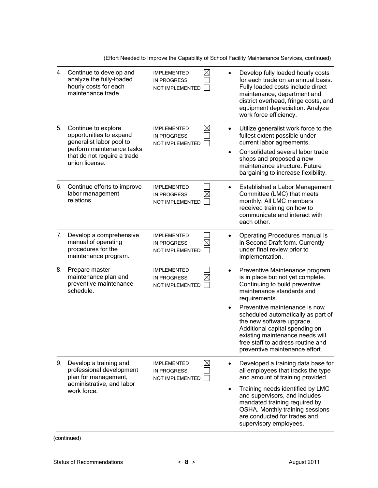(Effort Needed to Improve the Capability of School Facility Maintenance Services, continued)

| 4. | Continue to develop and<br>analyze the fully-loaded<br>hourly costs for each<br>maintenance trade.                                                       | <b>IMPLEMENTED</b><br><b>IN PROGRESS</b><br>NOT IMPLEMENTED        | $\boxtimes$                           | Develop fully loaded hourly costs<br>for each trade on an annual basis.<br>Fully loaded costs include direct<br>maintenance, department and<br>district overhead, fringe costs, and<br>equipment depreciation. Analyze<br>work force efficiency.                                                                                                                                                    |
|----|----------------------------------------------------------------------------------------------------------------------------------------------------------|--------------------------------------------------------------------|---------------------------------------|-----------------------------------------------------------------------------------------------------------------------------------------------------------------------------------------------------------------------------------------------------------------------------------------------------------------------------------------------------------------------------------------------------|
| 5. | Continue to explore<br>opportunities to expand<br>generalist labor pool to<br>perform maintenance tasks<br>that do not require a trade<br>union license. | <b>IMPLEMENTED</b><br><b>IN PROGRESS</b><br><b>NOT IMPLEMENTED</b> | $\boxtimes$<br>$\bullet$<br>$\bullet$ | Utilize generalist work force to the<br>fullest extent possible under<br>current labor agreements.<br>Consolidated several labor trade<br>shops and proposed a new<br>maintenance structure. Future<br>bargaining to increase flexibility.                                                                                                                                                          |
| 6. | Continue efforts to improve<br>labor management<br>relations.                                                                                            | <b>IMPLEMENTED</b><br><b>IN PROGRESS</b><br><b>NOT IMPLEMENTED</b> | $\bullet$<br>$\times$                 | Established a Labor Management<br>Committee (LMC) that meets<br>monthly. All LMC members<br>received training on how to<br>communicate and interact with<br>each other.                                                                                                                                                                                                                             |
| 7. | Develop a comprehensive<br>manual of operating<br>procedures for the<br>maintenance program.                                                             | <b>IMPLEMENTED</b><br><b>IN PROGRESS</b><br>NOT IMPLEMENTED        | $\bullet$<br>$\times$                 | Operating Procedures manual is<br>in Second Draft form. Currently<br>under final review prior to<br>implementation.                                                                                                                                                                                                                                                                                 |
| 8. | Prepare master<br>maintenance plan and<br>preventive maintenance<br>schedule.                                                                            | <b>IMPLEMENTED</b><br><b>IN PROGRESS</b><br>NOT IMPLEMENTED        | $\bullet$<br>$\bullet$                | Preventive Maintenance program<br>is in place but not yet complete.<br>Continuing to build preventive<br>maintenance standards and<br>requirements.<br>Preventive maintenance is now<br>scheduled automatically as part of<br>the new software upgrade.<br>Additional capital spending on<br>existing maintenance needs will<br>free staff to address routine and<br>preventive maintenance effort. |
| 9. | Develop a training and<br>professional development<br>plan for management,<br>administrative, and labor<br>work force.                                   | <b>IMPLEMENTED</b><br><b>IN PROGRESS</b><br>NOT IMPLEMENTED        | $\boxtimes$<br>$\bullet$              | Developed a training data base for<br>all employees that tracks the type<br>and amount of training provided.<br>Training needs identified by LMC<br>and supervisors, and includes<br>mandated training required by<br>OSHA. Monthly training sessions<br>are conducted for trades and<br>supervisory employees.                                                                                     |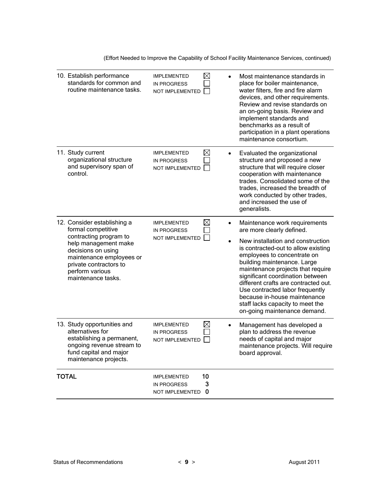(Effort Needed to Improve the Capability of School Facility Maintenance Services, continued)

|              | 10. Establish performance<br>standards for common and<br>routine maintenance tasks.                                                                                                                                      | <b>IMPLEMENTED</b><br><b>IN PROGRESS</b><br>NOT IMPLEMENTED | $\boxtimes$              | Most maintenance standards in<br>place for boiler maintenance,<br>water filters, fire and fire alarm<br>devices, and other requirements.<br>Review and revise standards on<br>an on-going basis. Review and<br>implement standards and<br>benchmarks as a result of<br>participation in a plant operations<br>maintenance consortium.                                                                                                                        |
|--------------|--------------------------------------------------------------------------------------------------------------------------------------------------------------------------------------------------------------------------|-------------------------------------------------------------|--------------------------|--------------------------------------------------------------------------------------------------------------------------------------------------------------------------------------------------------------------------------------------------------------------------------------------------------------------------------------------------------------------------------------------------------------------------------------------------------------|
|              | 11. Study current<br>organizational structure<br>and supervisory span of<br>control.                                                                                                                                     | <b>IMPLEMENTED</b><br><b>IN PROGRESS</b><br>NOT IMPLEMENTED | $\boxtimes$<br>٠         | Evaluated the organizational<br>structure and proposed a new<br>structure that will require closer<br>cooperation with maintenance<br>trades. Consolidated some of the<br>trades, increased the breadth of<br>work conducted by other trades,<br>and increased the use of<br>generalists.                                                                                                                                                                    |
|              | 12. Consider establishing a<br>formal competitive<br>contracting program to<br>help management make<br>decisions on using<br>maintenance employees or<br>private contractors to<br>perform various<br>maintenance tasks. | <b>IMPLEMENTED</b><br><b>IN PROGRESS</b><br>NOT IMPLEMENTED | $\boxtimes$<br>$\bullet$ | Maintenance work requirements<br>are more clearly defined.<br>New installation and construction<br>is contracted-out to allow existing<br>employees to concentrate on<br>building maintenance. Large<br>maintenance projects that require<br>significant coordination between<br>different crafts are contracted out.<br>Use contracted labor frequently<br>because in-house maintenance<br>staff lacks capacity to meet the<br>on-going maintenance demand. |
|              | 13. Study opportunities and<br>alternatives for<br>establishing a permanent,<br>ongoing revenue stream to<br>fund capital and major<br>maintenance projects.                                                             | <b>IMPLEMENTED</b><br><b>IN PROGRESS</b><br>NOT IMPLEMENTED | $\boxtimes$              | Management has developed a<br>plan to address the revenue<br>needs of capital and major<br>maintenance projects. Will require<br>board approval.                                                                                                                                                                                                                                                                                                             |
| <b>TOTAL</b> |                                                                                                                                                                                                                          | <b>IMPLEMENTED</b><br><b>IN PROGRESS</b><br>NOT IMPLEMENTED | 10<br>3<br>$\mathbf 0$   |                                                                                                                                                                                                                                                                                                                                                                                                                                                              |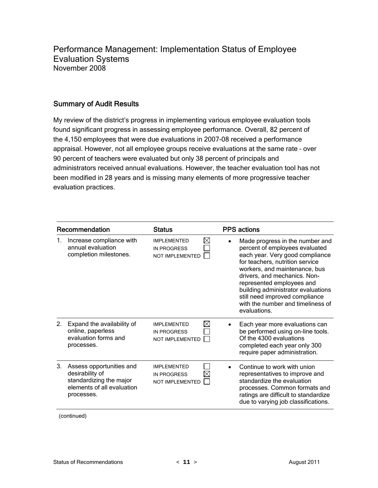Performance Management: Implementation Status of Employee Evaluation Systems November 2008

#### Summary of Audit Results

My review of the district's progress in implementing various employee evaluation tools found significant progress in assessing employee performance. Overall, 82 percent of the 4,150 employees that were due evaluations in 2007-08 received a performance appraisal. However, not all employee groups receive evaluations at the same rate – over 90 percent of teachers were evaluated but only 38 percent of principals and administrators received annual evaluations. However, the teacher evaluation tool has not been modified in 28 years and is missing many elements of more progressive teacher evaluation practices.

|    | Recommendation                                                                                                     | <b>Status</b>                                                      | <b>PPS</b> actions                                                                                                                                                                                                                                                                                                                                                 |
|----|--------------------------------------------------------------------------------------------------------------------|--------------------------------------------------------------------|--------------------------------------------------------------------------------------------------------------------------------------------------------------------------------------------------------------------------------------------------------------------------------------------------------------------------------------------------------------------|
| 1. | Increase compliance with<br>annual evaluation<br>completion milestones.                                            | ⊠<br><b>IMPI FMENTED</b><br><b>IN PROGRESS</b><br>NOT IMPLEMENTED  | Made progress in the number and<br>percent of employees evaluated<br>each year. Very good compliance<br>for teachers, nutrition service<br>workers, and maintenance, bus<br>drivers, and mechanics. Non-<br>represented employees and<br>building administrator evaluations<br>still need improved compliance<br>with the number and timeliness of<br>evaluations. |
| 2. | Expand the availability of<br>online, paperless<br>evaluation forms and<br>processes.                              | M<br><b>IMPLEMENTED</b><br><b>IN PROGRESS</b><br>NOT IMPLEMENTED   | Each year more evaluations can<br>be performed using on-line tools.<br>Of the 4300 evaluations<br>completed each year only 300<br>require paper administration.                                                                                                                                                                                                    |
| 3. | Assess opportunities and<br>desirability of<br>standardizing the major<br>elements of all evaluation<br>processes. | <b>IMPLEMENTED</b><br><b>IN PROGRESS</b><br><b>NOT IMPLEMENTED</b> | Continue to work with union<br>representatives to improve and<br>standardize the evaluation<br>processes. Common formats and<br>ratings are difficult to standardize<br>due to varying job classifications.                                                                                                                                                        |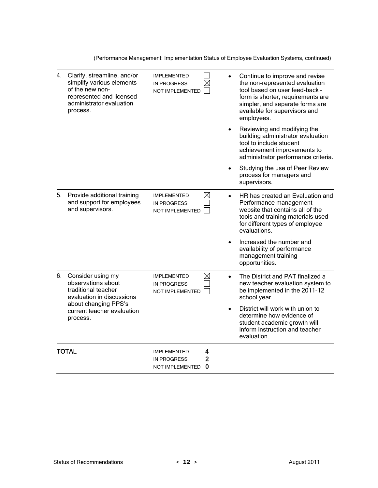(Performance Management: Implementation Status of Employee Evaluation Systems, continued)

| 4. | Clarify, streamline, and/or<br>simplify various elements<br>of the new non-<br>represented and licensed<br>administrator evaluation<br>process. | <b>IMPLEMENTED</b><br><b>IN PROGRESS</b><br><b>NOT IMPLEMENTED</b> | $\times$                 | Continue to improve and revise<br>the non-represented evaluation<br>tool based on user feed-back -<br>form is shorter, requirements are<br>simpler, and separate forms are<br>available for supervisors and<br>employees. |
|----|-------------------------------------------------------------------------------------------------------------------------------------------------|--------------------------------------------------------------------|--------------------------|---------------------------------------------------------------------------------------------------------------------------------------------------------------------------------------------------------------------------|
|    |                                                                                                                                                 |                                                                    |                          | Reviewing and modifying the<br>building administrator evaluation<br>tool to include student<br>achievement improvements to<br>administrator performance criteria.                                                         |
|    |                                                                                                                                                 |                                                                    | $\bullet$                | Studying the use of Peer Review<br>process for managers and<br>supervisors.                                                                                                                                               |
| 5. | Provide additional training<br>and support for employees<br>and supervisors.                                                                    | <b>IMPLEMENTED</b><br><b>IN PROGRESS</b><br><b>NOT IMPLEMENTED</b> | $\boxtimes$<br>$\bullet$ | HR has created an Evaluation and<br>Performance management<br>website that contains all of the<br>tools and training materials used<br>for different types of employee<br>evaluations.                                    |
|    |                                                                                                                                                 |                                                                    | $\bullet$                | Increased the number and<br>availability of performance<br>management training<br>opportunities.                                                                                                                          |
| 6. | Consider using my<br>observations about<br>traditional teacher<br>evaluation in discussions                                                     | <b>IMPLEMENTED</b><br><b>IN PROGRESS</b><br>NOT IMPLEMENTED        | $\boxtimes$<br>$\bullet$ | The District and PAT finalized a<br>new teacher evaluation system to<br>be implemented in the 2011-12<br>school year.                                                                                                     |
|    | about changing PPS's<br>current teacher evaluation<br>process.                                                                                  |                                                                    |                          | District will work with union to<br>determine how evidence of<br>student academic growth will<br>inform instruction and teacher<br>evaluation.                                                                            |
|    | <b>TOTAL</b>                                                                                                                                    | <b>IMPLEMENTED</b><br><b>IN PROGRESS</b><br>NOT IMPLEMENTED        | 4<br>$\overline{2}$<br>0 |                                                                                                                                                                                                                           |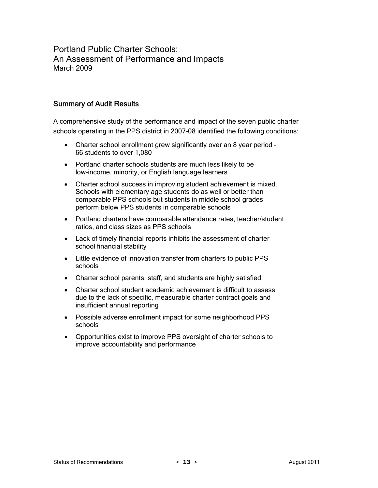Portland Public Charter Schools: An Assessment of Performance and Impacts March 2009

#### Summary of Audit Results

A comprehensive study of the performance and impact of the seven public charter schools operating in the PPS district in 2007-08 identified the following conditions:

- Charter school enrollment grew significantly over an 8 year period 66 students to over 1,080
- Portland charter schools students are much less likely to be low-income, minority, or English language learners
- Charter school success in improving student achievement is mixed. Schools with elementary age students do as well or better than comparable PPS schools but students in middle school grades perform below PPS students in comparable schools
- Portland charters have comparable attendance rates, teacher/student ratios, and class sizes as PPS schools
- Lack of timely financial reports inhibits the assessment of charter school financial stability
- Little evidence of innovation transfer from charters to public PPS schools
- Charter school parents, staff, and students are highly satisfied
- Charter school student academic achievement is difficult to assess due to the lack of specific, measurable charter contract goals and insufficient annual reporting
- Possible adverse enrollment impact for some neighborhood PPS schools
- Opportunities exist to improve PPS oversight of charter schools to improve accountability and performance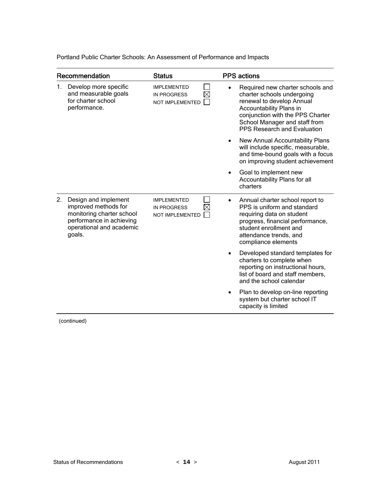Portland Public Charter Schools: An Assessment of Performance and Impacts

|    | Recommendation                                                                                                                              | <b>Status</b>                                                      | <b>PPS</b> actions                                                                                                                                                                                                         |
|----|---------------------------------------------------------------------------------------------------------------------------------------------|--------------------------------------------------------------------|----------------------------------------------------------------------------------------------------------------------------------------------------------------------------------------------------------------------------|
| 1. | Develop more specific<br>and measurable goals<br>for charter school<br>performance.                                                         | <b>IMPLEMENTED</b><br><b>IN PROGRESS</b><br><b>NOT IMPLEMENTED</b> | Required new charter schools and<br>charter schools undergoing<br>renewal to develop Annual<br>Accountability Plans in<br>conjunction with the PPS Charter<br>School Manager and staff from<br>PPS Research and Evaluation |
|    |                                                                                                                                             |                                                                    | New Annual Accountability Plans<br>will include specific, measurable,<br>and time-bound goals with a focus<br>on improving student achievement                                                                             |
|    |                                                                                                                                             |                                                                    | Goal to implement new<br>Accountability Plans for all<br>charters                                                                                                                                                          |
| 2. | Design and implement<br>improved methods for<br>monitoring charter school<br>performance in achieving<br>operational and academic<br>goals. | <b>IMPLEMENTED</b><br><b>IN PROGRESS</b><br><b>NOT IMPLEMENTED</b> | Annual charter school report to<br>PPS is uniform and standard<br>requiring data on student<br>progress, financial performance,<br>student enrollment and<br>attendance trends, and<br>compliance elements                 |
|    |                                                                                                                                             |                                                                    | Developed standard templates for<br>charters to complete when<br>reporting on instructional hours,<br>list of board and staff members,<br>and the school calendar                                                          |
|    |                                                                                                                                             |                                                                    | Plan to develop on-line reporting<br>system but charter school IT<br>capacity is limited                                                                                                                                   |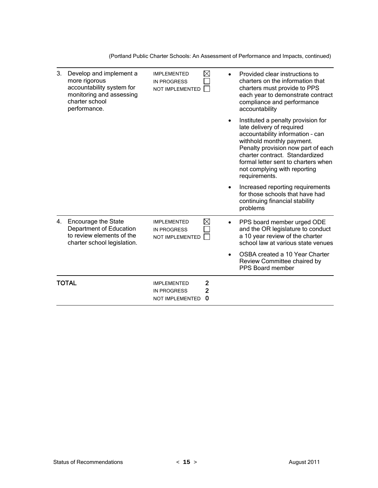(Portland Public Charter Schools: An Assessment of Performance and Impacts, continued)

| 3. | Develop and implement a<br>more rigorous<br>accountability system for<br>monitoring and assessing<br>charter school<br>performance. | <b>IMPLEMENTED</b><br><b>IN PROGRESS</b><br>NOT IMPLEMENTED        | X                        | Provided clear instructions to<br>charters on the information that<br>charters must provide to PPS<br>each year to demonstrate contract<br>compliance and performance<br>accountability                                                                                                          |
|----|-------------------------------------------------------------------------------------------------------------------------------------|--------------------------------------------------------------------|--------------------------|--------------------------------------------------------------------------------------------------------------------------------------------------------------------------------------------------------------------------------------------------------------------------------------------------|
|    |                                                                                                                                     |                                                                    |                          | Instituted a penalty provision for<br>late delivery of required<br>accountability information - can<br>withhold monthly payment.<br>Penalty provision now part of each<br>charter contract. Standardized<br>formal letter sent to charters when<br>not complying with reporting<br>requirements. |
|    |                                                                                                                                     |                                                                    |                          | Increased reporting requirements<br>for those schools that have had<br>continuing financial stability<br>problems                                                                                                                                                                                |
| 4. | <b>Encourage the State</b><br>Department of Education<br>to review elements of the<br>charter school legislation.                   | <b>IMPLEMENTED</b><br><b>IN PROGRESS</b><br><b>NOT IMPLEMENTED</b> | $\bowtie$                | PPS board member urged ODE<br>and the OR legislature to conduct<br>a 10 year review of the charter<br>school law at various state venues                                                                                                                                                         |
|    |                                                                                                                                     |                                                                    |                          | OSBA created a 10 Year Charter<br>Review Committee chaired by<br>PPS Board member                                                                                                                                                                                                                |
|    | TOTAL                                                                                                                               | <b>IMPLEMENTED</b><br><b>IN PROGRESS</b><br>NOT IMPLEMENTED        | 2<br>$\overline{2}$<br>0 |                                                                                                                                                                                                                                                                                                  |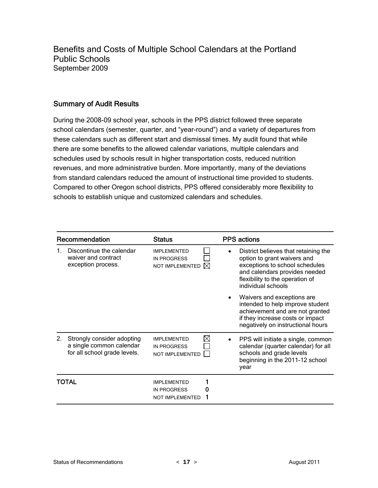Benefits and Costs of Multiple School Calendars at the Portland Public Schools September 2009

#### Summary of Audit Results

During the 2008-09 school year, schools in the PPS district followed three separate school calendars (semester, quarter, and "year-round") and a variety of departures from these calendars such as different start and dismissal times. My audit found that while there are some benefits to the allowed calendar variations, multiple calendars and schedules used by schools result in higher transportation costs, reduced nutrition revenues, and more administrative burden. More importantly, many of the deviations from standard calendars reduced the amount of instructional time provided to students. Compared to other Oregon school districts, PPS offered considerably more flexibility to schools to establish unique and customized calendars and schedules.

| Recommendation |                                                                                        | <b>Status</b>                                                                       | <b>PPS</b> actions |                                                                                                                                                                                                 |
|----------------|----------------------------------------------------------------------------------------|-------------------------------------------------------------------------------------|--------------------|-------------------------------------------------------------------------------------------------------------------------------------------------------------------------------------------------|
|                | Discontinue the calendar<br>waiver and contract<br>exception process.                  | <b>IMPI FMENTED</b><br><b>IN PROGRESS</b><br><b>NOT IMPLEMENTED</b><br>$\mathbb{X}$ |                    | District believes that retaining the<br>option to grant waivers and<br>exceptions to school schedules<br>and calendars provides needed<br>flexibility to the operation of<br>individual schools |
|                |                                                                                        |                                                                                     |                    | Waivers and exceptions are<br>intended to help improve student<br>achievement and are not granted<br>if they increase costs or impact<br>negatively on instructional hours                      |
| $2_{\cdot}$    | Strongly consider adopting<br>a single common calendar<br>for all school grade levels. | ⋈<br><b>IMPLEMENTED</b><br><b>IN PROGRESS</b><br><b>NOT IMPLEMENTED</b>             |                    | PPS will initiate a single, common<br>calendar (quarter calendar) for all<br>schools and grade levels<br>beginning in the 2011-12 school<br>year                                                |
|                | TOTAL                                                                                  | <b>IMPLEMENTED</b><br><b>IN PROGRESS</b><br><b>NOT IMPLEMENTED</b>                  |                    |                                                                                                                                                                                                 |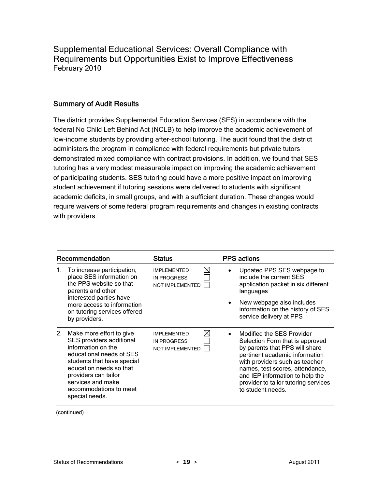Supplemental Educational Services: Overall Compliance with Requirements but Opportunities Exist to Improve Effectiveness February 2010

#### Summary of Audit Results

The district provides Supplemental Education Services (SES) in accordance with the federal No Child Left Behind Act (NCLB) to help improve the academic achievement of low-income students by providing after-school tutoring. The audit found that the district administers the program in compliance with federal requirements but private tutors demonstrated mixed compliance with contract provisions. In addition, we found that SES tutoring has a very modest measurable impact on improving the academic achievement of participating students. SES tutoring could have a more positive impact on improving student achievement if tutoring sessions were delivered to students with significant academic deficits, in small groups, and with a sufficient duration. These changes would require waivers of some federal program requirements and changes in existing contracts with providers.

| Recommendation |                                                                                                                                                                                                                                                          | <b>Status</b>                                                                     |  | <b>PPS</b> actions                                                                                                                                                                                                                                                                                    |  |
|----------------|----------------------------------------------------------------------------------------------------------------------------------------------------------------------------------------------------------------------------------------------------------|-----------------------------------------------------------------------------------|--|-------------------------------------------------------------------------------------------------------------------------------------------------------------------------------------------------------------------------------------------------------------------------------------------------------|--|
| 1.             | To increase participation,<br>place SES information on<br>the PPS website so that<br>parents and other<br>interested parties have                                                                                                                        | $\boxtimes$<br><b>IMPLEMENTED</b><br><b>IN PROGRESS</b><br><b>NOT IMPLEMENTED</b> |  | Updated PPS SES webpage to<br>include the current SES<br>application packet in six different<br>languages                                                                                                                                                                                             |  |
|                | more access to information<br>on tutoring services offered<br>by providers.                                                                                                                                                                              |                                                                                   |  | New webpage also includes<br>information on the history of SES<br>service delivery at PPS                                                                                                                                                                                                             |  |
| $2_{1}$        | Make more effort to give<br>SES providers additional<br>information on the<br>educational needs of SES<br>students that have special<br>education needs so that<br>providers can tailor<br>services and make<br>accommodations to meet<br>special needs. | ⊠<br><b>IMPLEMENTED</b><br><b>IN PROGRESS</b><br><b>NOT IMPLEMENTED</b>           |  | Modified the SES Provider<br>Selection Form that is approved<br>by parents that PPS will share<br>pertinent academic information<br>with providers such as teacher<br>names, test scores, attendance,<br>and IEP information to help the<br>provider to tailor tutoring services<br>to student needs. |  |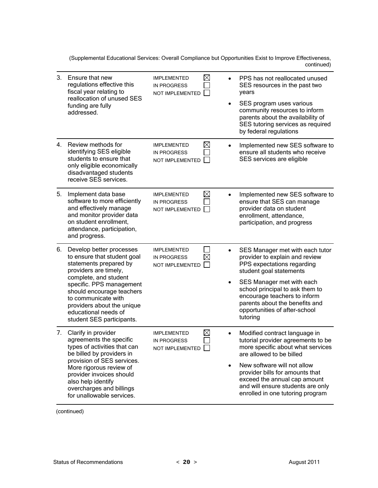(Supplemental Educational Services: Overall Compliance but Opportunities Exist to Improve Effectiveness, continued)

| 3.      | Ensure that new<br>regulations effective this<br>fiscal year relating to<br>reallocation of unused SES<br>funding are fully<br>addressed.                                                                                                                                                              | <b>IMPLEMENTED</b><br><b>IN PROGRESS</b><br>NOT IMPLEMENTED        | $\boxtimes$<br>$\bullet$ | PPS has not reallocated unused<br>SES resources in the past two<br>years<br>SES program uses various<br>community resources to inform<br>parents about the availability of<br>SES tutoring services as required<br>by federal regulations                                                                       |
|---------|--------------------------------------------------------------------------------------------------------------------------------------------------------------------------------------------------------------------------------------------------------------------------------------------------------|--------------------------------------------------------------------|--------------------------|-----------------------------------------------------------------------------------------------------------------------------------------------------------------------------------------------------------------------------------------------------------------------------------------------------------------|
| $4_{-}$ | Review methods for<br>identifying SES eligible<br>students to ensure that<br>only eligible economically<br>disadvantaged students<br>receive SES services.                                                                                                                                             | <b>IMPLEMENTED</b><br><b>IN PROGRESS</b><br>NOT IMPLEMENTED        | $\boxtimes$              | Implemented new SES software to<br>ensure all students who receive<br>SES services are eligible                                                                                                                                                                                                                 |
| 5.      | Implement data base<br>software to more efficiently<br>and effectively manage<br>and monitor provider data<br>on student enrollment,<br>attendance, participation,<br>and progress.                                                                                                                    | <b>IMPLEMENTED</b><br><b>IN PROGRESS</b><br><b>NOT IMPLEMENTED</b> | $\boxtimes$<br>$\bullet$ | Implemented new SES software to<br>ensure that SES can manage<br>provider data on student<br>enrollment, attendance,<br>participation, and progress                                                                                                                                                             |
| 6.      | Develop better processes<br>to ensure that student goal<br>statements prepared by<br>providers are timely,<br>complete, and student<br>specific. PPS management<br>should encourage teachers<br>to communicate with<br>providers about the unique<br>educational needs of<br>student SES participants. | <b>IMPLEMENTED</b><br><b>IN PROGRESS</b><br>NOT IMPLEMENTED        | $\bullet$<br>$\bullet$   | SES Manager met with each tutor<br>provider to explain and review<br>PPS expectations regarding<br>student goal statements<br>SES Manager met with each<br>school principal to ask them to<br>encourage teachers to inform<br>parents about the benefits and<br>opportunities of after-school<br>tutoring       |
| 7.      | Clarify in provider<br>agreements the specific<br>types of activities that can<br>be billed by providers in<br>provision of SES services.<br>More rigorous review of<br>provider invoices should<br>also help identify<br>overcharges and billings<br>for unallowable services.                        | <b>IMPLEMENTED</b><br><b>IN PROGRESS</b><br>NOT IMPLEMENTED        | $\bowtie$<br>$\bullet$   | Modified contract language in<br>tutorial provider agreements to be<br>more specific about what services<br>are allowed to be billed<br>New software will not allow<br>provider bills for amounts that<br>exceed the annual cap amount<br>and will ensure students are only<br>enrolled in one tutoring program |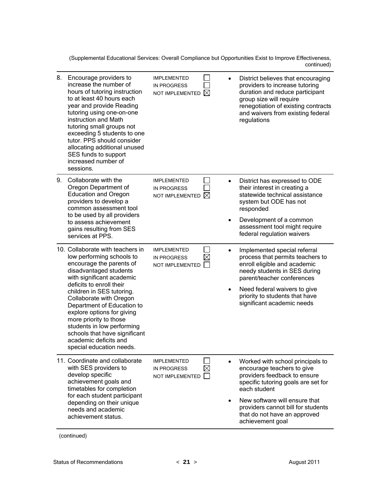(Supplemental Educational Services: Overall Compliance but Opportunities Exist to Improve Effectiveness, continued)

| 8. | Encourage providers to<br>increase the number of<br>hours of tutoring instruction<br>to at least 40 hours each<br>year and provide Reading<br>tutoring using one-on-one<br>instruction and Math<br>tutoring small groups not<br>exceeding 5 students to one<br>tutor. PPS should consider<br>allocating additional unused<br>SES funds to support<br>increased number of<br>sessions.                                                          | <b>IMPLEMENTED</b><br><b>IN PROGRESS</b><br>$\boxtimes$<br>NOT IMPLEMENTED |           | District believes that encouraging<br>providers to increase tutoring<br>duration and reduce participant<br>group size will require<br>renegotiation of existing contracts<br>and waivers from existing federal<br>regulations                                                    |
|----|------------------------------------------------------------------------------------------------------------------------------------------------------------------------------------------------------------------------------------------------------------------------------------------------------------------------------------------------------------------------------------------------------------------------------------------------|----------------------------------------------------------------------------|-----------|----------------------------------------------------------------------------------------------------------------------------------------------------------------------------------------------------------------------------------------------------------------------------------|
| 9. | Collaborate with the<br>Oregon Department of<br><b>Education and Oregon</b><br>providers to develop a<br>common assessment tool<br>to be used by all providers<br>to assess achievement<br>gains resulting from SES<br>services at PPS.                                                                                                                                                                                                        | <b>IMPLEMENTED</b><br><b>IN PROGRESS</b><br>M<br>NOT IMPLEMENTED           | $\bullet$ | District has expressed to ODE<br>their interest in creating a<br>statewide technical assistance<br>system but ODE has not<br>responded<br>Development of a common<br>assessment tool might require<br>federal regulation waivers                                                 |
|    | 10. Collaborate with teachers in<br>low performing schools to<br>encourage the parents of<br>disadvantaged students<br>with significant academic<br>deficits to enroll their<br>children in SES tutoring.<br>Collaborate with Oregon<br>Department of Education to<br>explore options for giving<br>more priority to those<br>students in low performing<br>schools that have significant<br>academic deficits and<br>special education needs. | <b>IMPLEMENTED</b><br><b>IN PROGRESS</b><br>NOT IMPLEMENTED                | $\bullet$ | Implemented special referral<br>process that permits teachers to<br>enroll eligible and academic<br>needy students in SES during<br>parent/teacher conferences<br>Need federal waivers to give<br>priority to students that have<br>significant academic needs                   |
|    | 11. Coordinate and collaborate<br>with SES providers to<br>develop specific<br>achievement goals and<br>timetables for completion<br>for each student participant<br>depending on their unique<br>needs and academic<br>achievement status.                                                                                                                                                                                                    | <b>IMPLEMENTED</b><br>$\times$<br><b>IN PROGRESS</b><br>NOT IMPLEMENTED    |           | Worked with school principals to<br>encourage teachers to give<br>providers feedback to ensure<br>specific tutoring goals are set for<br>each student<br>New software will ensure that<br>providers cannot bill for students<br>that do not have an approved<br>achievement goal |

<sup>(</sup>continued)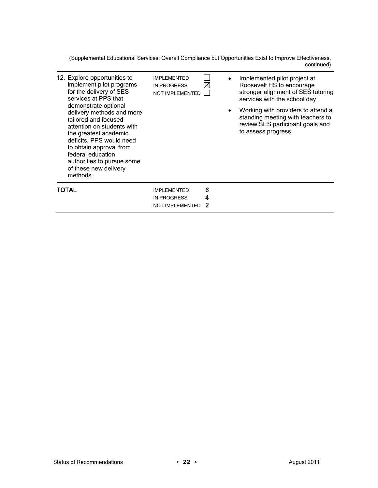(Supplemental Educational Services: Overall Compliance but Opportunities Exist to Improve Effectiveness, continued)

| 12. Explore opportunities to<br>implement pilot programs<br>for the delivery of SES<br>services at PPS that<br>demonstrate optional<br>delivery methods and more<br>tailored and focused<br>attention on students with<br>the greatest academic<br>deficits. PPS would need<br>to obtain approval from<br>federal education<br>authorities to pursue some<br>of these new delivery<br>methods. | <b>IMPLEMENTED</b><br><b>IN PROGRESS</b><br><b>NOT IMPLEMENTED</b> | $\times$<br>٠ | Implemented pilot project at<br>Roosevelt HS to encourage<br>stronger alignment of SES tutoring<br>services with the school day<br>Working with providers to attend a<br>standing meeting with teachers to<br>review SES participant goals and<br>to assess progress |
|------------------------------------------------------------------------------------------------------------------------------------------------------------------------------------------------------------------------------------------------------------------------------------------------------------------------------------------------------------------------------------------------|--------------------------------------------------------------------|---------------|----------------------------------------------------------------------------------------------------------------------------------------------------------------------------------------------------------------------------------------------------------------------|
| TOTAL                                                                                                                                                                                                                                                                                                                                                                                          | <b>IMPLEMENTED</b><br><b>IN PROGRESS</b><br><b>NOT IMPLEMENTED</b> | 6<br>4        |                                                                                                                                                                                                                                                                      |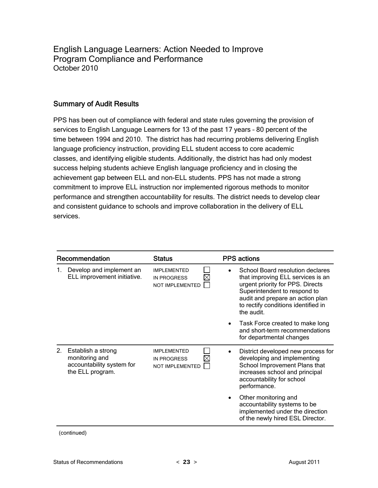English Language Learners: Action Needed to Improve Program Compliance and Performance October 2010

#### Summary of Audit Results

PPS has been out of compliance with federal and state rules governing the provision of services to English Language Learners for 13 of the past 17 years – 80 percent of the time between 1994 and 2010. The district has had recurring problems delivering English language proficiency instruction, providing ELL student access to core academic classes, and identifying eligible students. Additionally, the district has had only modest success helping students achieve English language proficiency and in closing the achievement gap between ELL and non-ELL students. PPS has not made a strong commitment to improve ELL instruction nor implemented rigorous methods to monitor performance and strengthen accountability for results. The district needs to develop clear and consistent guidance to schools and improve collaboration in the delivery of ELL services.

| Recommendation |                                                                                       | <b>Status</b>                                                | <b>PPS</b> actions                                                                                                                                                                                                                 |  |
|----------------|---------------------------------------------------------------------------------------|--------------------------------------------------------------|------------------------------------------------------------------------------------------------------------------------------------------------------------------------------------------------------------------------------------|--|
| 1.             | Develop and implement an<br>ELL improvement initiative.                               | <b>IMPI FMENTED</b><br><b>IN PROGRESS</b><br>NOT IMPLEMENTED | School Board resolution declares<br>that improving ELL services is an<br>urgent priority for PPS. Directs<br>Superintendent to respond to<br>audit and prepare an action plan<br>to rectify conditions identified in<br>the audit. |  |
|                |                                                                                       |                                                              | Task Force created to make long<br>$\bullet$<br>and short-term recommendations<br>for departmental changes                                                                                                                         |  |
| 2.             | Establish a strong<br>monitoring and<br>accountability system for<br>the ELL program. | <b>IMPLEMENTED</b><br><b>IN PROGRESS</b><br>NOT IMPLEMENTED  | District developed new process for<br>developing and implementing<br>School Improvement Plans that<br>increases school and principal<br>accountability for school<br>performance.                                                  |  |
|                |                                                                                       |                                                              | Other monitoring and<br>accountability systems to be<br>implemented under the direction<br>of the newly hired ESL Director.                                                                                                        |  |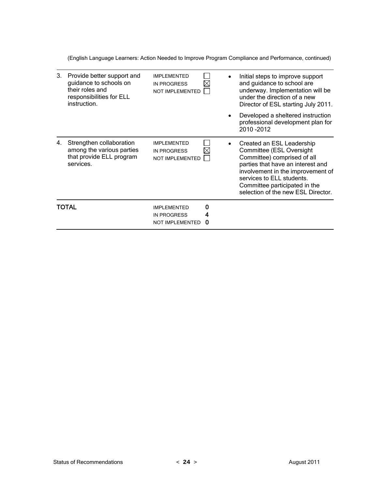(English Language Learners: Action Needed to Improve Program Compliance and Performance, continued)

| 3. | Provide better support and<br>guidance to schools on<br>their roles and<br>responsibilities for ELL<br>instruction. | <b>IMPI FMENTED</b><br><b>IN PROGRESS</b><br>NOT IMPLEMENTED       | X                     | Initial steps to improve support<br>and guidance to school are<br>underway. Implementation will be<br>under the direction of a new<br>Director of ESL starting July 2011.<br>Developed a sheltered instruction<br>professional development plan for<br>2010 - 2012 |
|----|---------------------------------------------------------------------------------------------------------------------|--------------------------------------------------------------------|-----------------------|--------------------------------------------------------------------------------------------------------------------------------------------------------------------------------------------------------------------------------------------------------------------|
| 4. | Strengthen collaboration<br>among the various parties<br>that provide ELL program<br>services.                      | <b>IMPLEMENTED</b><br><b>IN PROGRESS</b><br><b>NOT IMPLEMENTED</b> | $\bullet$<br>$\times$ | Created an ESL Leadership<br>Committee (ESL Oversight<br>Committee) comprised of all<br>parties that have an interest and<br>involvement in the improvement of<br>services to ELL students.<br>Committee participated in the<br>selection of the new ESL Director. |
|    | TOTAL                                                                                                               | <b>IMPLEMENTED</b><br><b>IN PROGRESS</b><br><b>NOT IMPLEMENTED</b> | 0<br>4<br>0           |                                                                                                                                                                                                                                                                    |